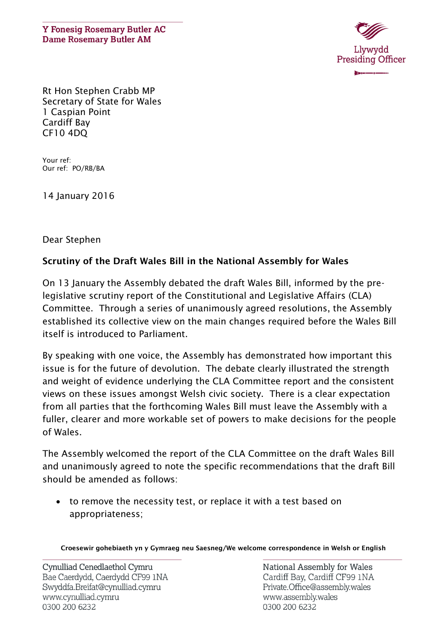**Y Fonesig Rosemary Butler AC Dame Rosemary Butler AM** 



Rt Hon Stephen Crabb MP Secretary of State for Wales 1 Caspian Point Cardiff Bay CF10 4DQ

Your ref: Our ref: PO/RB/BA

14 January 2016

## Dear Stephen

## **Scrutiny of the Draft Wales Bill in the National Assembly for Wales**

On 13 January the Assembly debated the draft Wales Bill, informed by the prelegislative scrutiny report of the Constitutional and Legislative Affairs (CLA) Committee. Through a series of unanimously agreed resolutions, the Assembly established its collective view on the main changes required before the Wales Bill itself is introduced to Parliament.

By speaking with one voice, the Assembly has demonstrated how important this issue is for the future of devolution. The debate clearly illustrated the strength and weight of evidence underlying the CLA Committee report and the consistent views on these issues amongst Welsh civic society. There is a clear expectation from all parties that the forthcoming Wales Bill must leave the Assembly with a fuller, clearer and more workable set of powers to make decisions for the people of Wales.

The Assembly welcomed the report of the CLA Committee on the draft Wales Bill and unanimously agreed to note the specific recommendations that the draft Bill should be amended as follows:

 to remove the necessity test, or replace it with a test based on appropriateness;

**Croesewir gohebiaeth yn y Gymraeg neu Saesneg/We welcome correspondence in Welsh or English**

National Assembly for Wales Cardiff Bay, Cardiff CF99 1NA Private.Office@assembly.wales www.assembly.wales 0300 200 6232